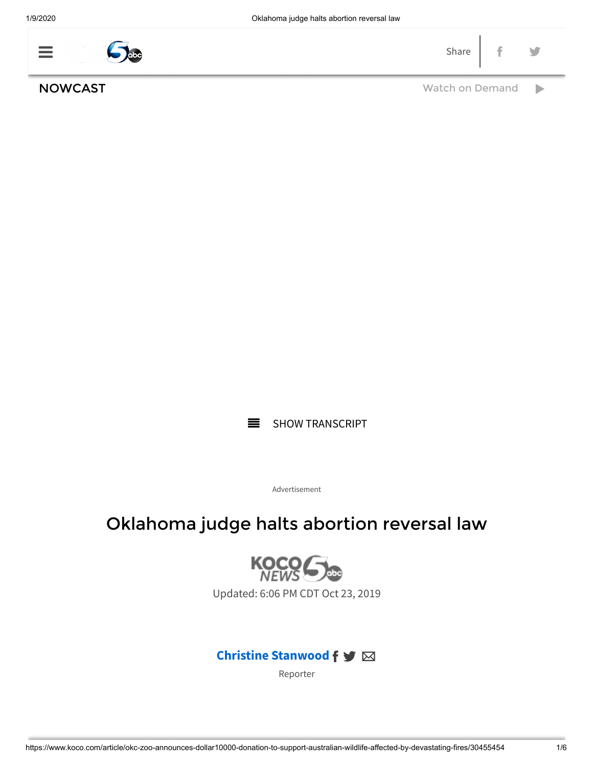| $\sim$ | the control of the control of the con- | ـ ت |  |
|--------|----------------------------------------|-----|--|
|        |                                        |     |  |

NOWCAST NOW RESERVE TO A MONOGRAPH [Watch on Demand](https://www.koco.com/nowcast)



Advertisement

## Oklahoma judge halts abortion reversal law



Updated: 6:06 PM CDT Oct 23, 2019

### **[Christine Stanwood](https://www.koco.com/news-team/b913fd34-3d1d-4f05-94c4-c6ca93191448) f** ≥

[Reporter](https://www.koco.com/news-team/b913fd34-3d1d-4f05-94c4-c6ca93191448)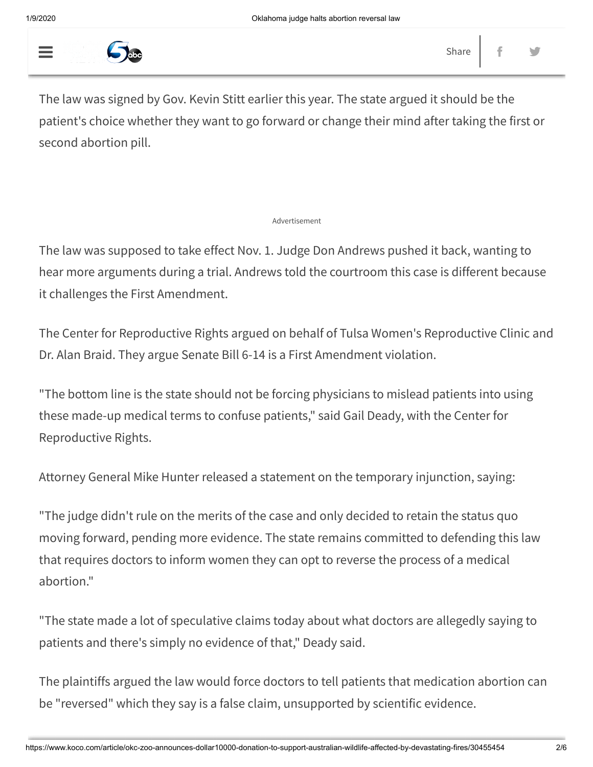

The law was signed by Gov. Kevin Stitt earlier this year. The state argued it should be the patient's choice whether they want to go forward or change their mind after taking the first or second abortion pill.

#### Advertisement

The law was supposed to take effect Nov. 1. Judge Don Andrews pushed it back, wanting to hear more arguments during a trial. Andrews told the courtroom this case is different because it challenges the First Amendment.

The Center for Reproductive Rights argued on behalf of Tulsa Women's Reproductive Clinic and Dr. Alan Braid. They argue Senate Bill 6-14 is a First Amendment violation.

"The bottom line is the state should not be forcing physicians to mislead patients into using these made-up medical terms to confuse patients," said Gail Deady, with the Center for Reproductive Rights.

Attorney General Mike Hunter released a statement on the temporary injunction, saying:

"The judge didn't rule on the merits of the case and only decided to retain the status quo moving forward, pending more evidence. The state remains committed to defending this law that requires doctors to inform women they can opt to reverse the process of a medical abortion."

"The state made a lot of speculative claims today about what doctors are allegedly saying to patients and there's simply no evidence of that," Deady said.

The plaintiffs argued the law would force doctors to tell patients that medication abortion can be "reversed" which they say is a false claim, unsupported by scientific evidence.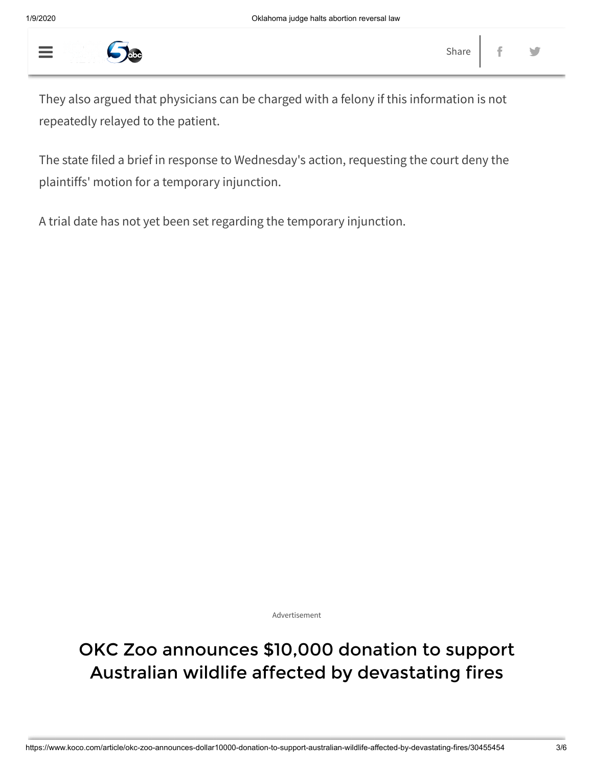

They also argued that physicians can be charged with a felony if this information is not repeatedly relayed to the patient.

The state filed a brief in response to Wednesday's action, requesting the court deny the plaintiffs' motion for a temporary injunction.

A trial date has not yet been set regarding the temporary injunction.

Advertisement

# OKC Zoo announces \$10,000 donation to support Australian wildlife affected by devastating fires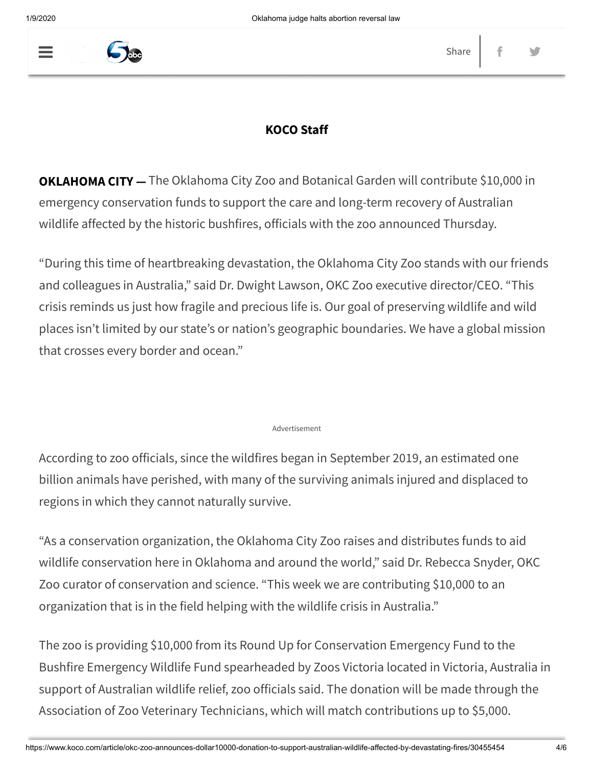

### **KOCO Staff**

**OKLAHOMA CITY —** The Oklahoma City Zoo and Botanical Garden will contribute \$10,000 in emergency conservation funds to support the care and long-term recovery of Australian wildlife affected by the historic bushfires, officials with the zoo announced Thursday.

"During this time of heartbreaking devastation, the Oklahoma City Zoo stands with our friends and colleagues in Australia," said Dr. Dwight Lawson, OKC Zoo executive director/CEO. "This crisis reminds us just how fragile and precious life is. Our goal of preserving wildlife and wild places isn't limited by our state's or nation's geographic boundaries. We have a global mission that crosses every border and ocean."

#### Advertisement

According to zoo officials, since the wildfires began in September 2019, an estimated one billion animals have perished, with many of the surviving animals injured and displaced to regions in which they cannot naturally survive.

"As a conservation organization, the Oklahoma City Zoo raises and distributes funds to aid wildlife conservation here in Oklahoma and around the world," said Dr. Rebecca Snyder, OKC Zoo curator of conservation and science. "This week we are contributing \$10,000 to an organization that is in the field helping with the wildlife crisis in Australia."

The zoo is providing \$10,000 from its Round Up for Conservation Emergency Fund to the Bushfire Emergency Wildlife Fund spearheaded by Zoos Victoria located in Victoria, Australia in support of Australian wildlife relief, zoo officials said. The donation will be made through the Association of Zoo Veterinary Technicians, which will match contributions up to \$5,000.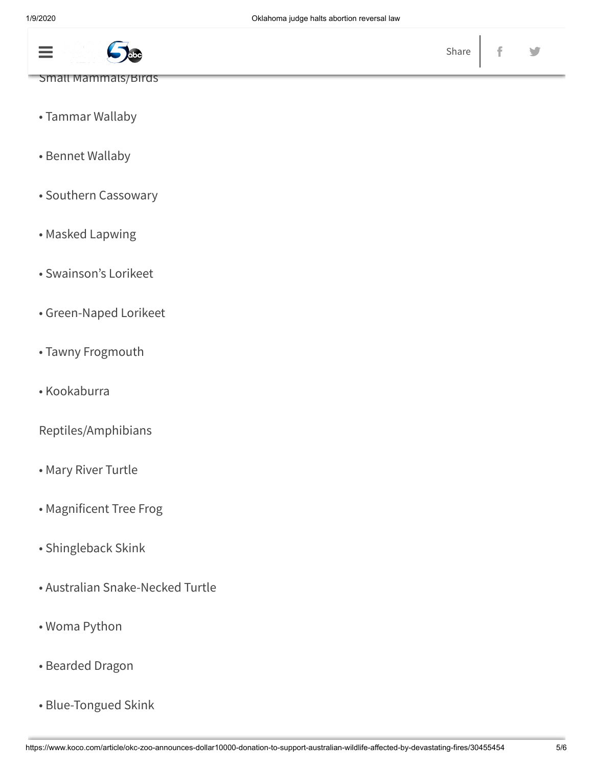

- Small Mammals/Birds
- Tammar Wallaby
- Bennet Wallaby
- Southern Cassowary
- Masked Lapwing
- Swainson's Lorikeet
- Green-Naped Lorikeet
- Tawny Frogmouth
- Kookaburra

Reptiles/Amphibians

- Mary River Turtle
- Magnificent Tree Frog
- Shingleback Skink
- Australian Snake-Necked Turtle
- Woma Python
- Bearded Dragon
- Blue-Tongued Skink